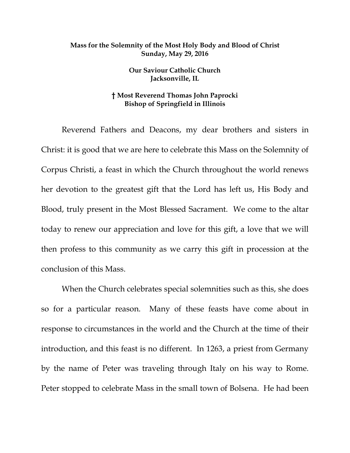## **Mass for the Solemnity of the Most Holy Body and Blood of Christ Sunday, May 29, 2016**

**Our Saviour Catholic Church Jacksonville, IL**

## **† Most Reverend Thomas John Paprocki Bishop of Springfield in Illinois**

Reverend Fathers and Deacons, my dear brothers and sisters in Christ: it is good that we are here to celebrate this Mass on the Solemnity of Corpus Christi, a feast in which the Church throughout the world renews her devotion to the greatest gift that the Lord has left us, His Body and Blood, truly present in the Most Blessed Sacrament. We come to the altar today to renew our appreciation and love for this gift, a love that we will then profess to this community as we carry this gift in procession at the conclusion of this Mass.

When the Church celebrates special solemnities such as this, she does so for a particular reason. Many of these feasts have come about in response to circumstances in the world and the Church at the time of their introduction, and this feast is no different. In 1263, a priest from Germany by the name of Peter was traveling through Italy on his way to Rome. Peter stopped to celebrate Mass in the small town of Bolsena. He had been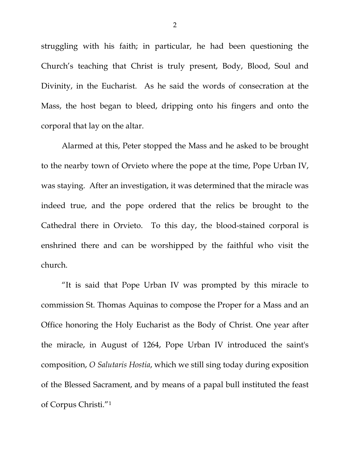struggling with his faith; in particular, he had been questioning the Church's teaching that Christ is truly present, Body, Blood, Soul and Divinity, in the Eucharist. As he said the words of consecration at the Mass, the host began to bleed, dripping onto his fingers and onto the corporal that lay on the altar.

Alarmed at this, Peter stopped the Mass and he asked to be brought to the nearby town of Orvieto where the pope at the time, Pope Urban IV, was staying. After an investigation, it was determined that the miracle was indeed true, and the pope ordered that the relics be brought to the Cathedral there in Orvieto. To this day, the blood-stained corporal is enshrined there and can be worshipped by the faithful who visit the church.

"It is said that Pope Urban IV was prompted by this miracle to commission St. Thomas Aquinas to compose the Proper for a Mass and an Office honoring the Holy Eucharist as the Body of Christ. One year after the miracle, in August of 1264, Pope Urban IV introduced the saint's composition, *O Salutaris Hostia*, which we still sing today during exposition of the Blessed Sacrament, and by means of a papal bull instituted the feast of Corpus Christi.["1](#page-11-0)

2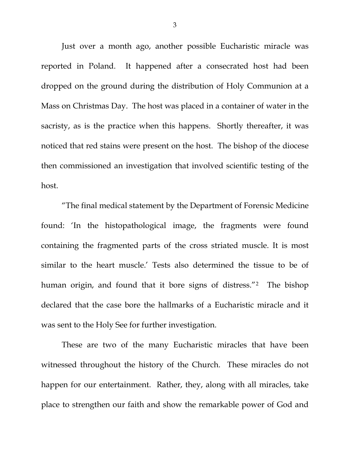Just over a month ago, another possible Eucharistic miracle was reported in Poland. It happened after a consecrated host had been dropped on the ground during the distribution of Holy Communion at a Mass on Christmas Day. The host was placed in a container of water in the sacristy, as is the practice when this happens. Shortly thereafter, it was noticed that red stains were present on the host. The bishop of the diocese then commissioned an investigation that involved scientific testing of the host.

"The final medical statement by the Department of Forensic Medicine found: 'In the histopathological image, the fragments were found containing the fragmented parts of the cross striated muscle. It is most similar to the heart muscle.' Tests also determined the tissue to be of human origin, and found that it bore signs of distress."<sup>[2](#page-11-1)</sup> The bishop declared that the case bore the hallmarks of a Eucharistic miracle and it was sent to the Holy See for further investigation.

These are two of the many Eucharistic miracles that have been witnessed throughout the history of the Church. These miracles do not happen for our entertainment. Rather, they, along with all miracles, take place to strengthen our faith and show the remarkable power of God and

3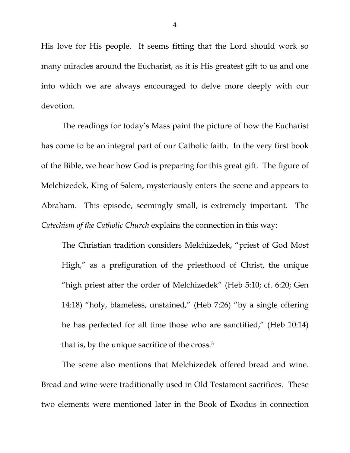His love for His people. It seems fitting that the Lord should work so many miracles around the Eucharist, as it is His greatest gift to us and one into which we are always encouraged to delve more deeply with our devotion.

The readings for today's Mass paint the picture of how the Eucharist has come to be an integral part of our Catholic faith. In the very first book of the Bible, we hear how God is preparing for this great gift. The figure of Melchizedek, King of Salem, mysteriously enters the scene and appears to Abraham. This episode, seemingly small, is extremely important. The *Catechism of the Catholic Church* explains the connection in this way:

The Christian tradition considers Melchizedek, "priest of God Most High," as a prefiguration of the priesthood of Christ, the unique "high priest after the order of Melchizedek" (Heb 5:10; cf. 6:20; Gen 14:18) "holy, blameless, unstained," (Heb 7:26) "by a single offering he has perfected for all time those who are sanctified," (Heb 10:14) that is, by the unique sacrifice of the cross.[3](#page-11-2)

The scene also mentions that Melchizedek offered bread and wine. Bread and wine were traditionally used in Old Testament sacrifices. These two elements were mentioned later in the Book of Exodus in connection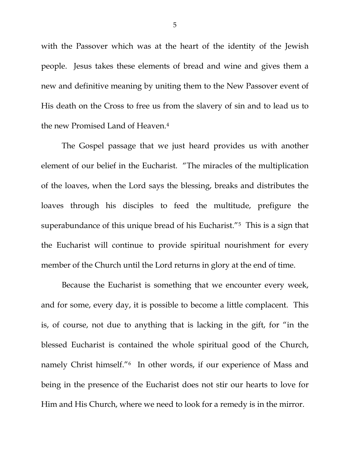with the Passover which was at the heart of the identity of the Jewish people. Jesus takes these elements of bread and wine and gives them a new and definitive meaning by uniting them to the New Passover event of His death on the Cross to free us from the slavery of sin and to lead us to the new Promised Land of Heaven[.4](#page-11-3)

The Gospel passage that we just heard provides us with another element of our belief in the Eucharist. "The miracles of the multiplication of the loaves, when the Lord says the blessing, breaks and distributes the loaves through his disciples to feed the multitude, prefigure the superabundance of this unique bread of his Eucharist."[5](#page-11-4) This is a sign that the Eucharist will continue to provide spiritual nourishment for every member of the Church until the Lord returns in glory at the end of time.

Because the Eucharist is something that we encounter every week, and for some, every day, it is possible to become a little complacent. This is, of course, not due to anything that is lacking in the gift, for "in the blessed Eucharist is contained the whole spiritual good of the Church, namely Christ himself."[6](#page-11-5) In other words, if our experience of Mass and being in the presence of the Eucharist does not stir our hearts to love for Him and His Church, where we need to look for a remedy is in the mirror.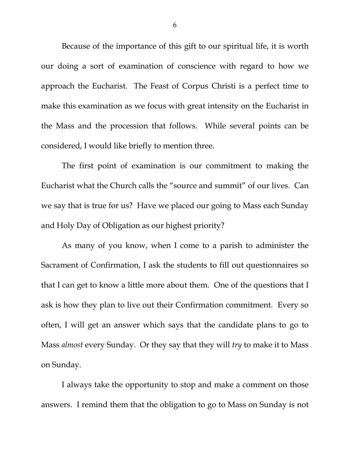Because of the importance of this gift to our spiritual life, it is worth our doing a sort of examination of conscience with regard to how we approach the Eucharist. The Feast of Corpus Christi is a perfect time to make this examination as we focus with great intensity on the Eucharist in the Mass and the procession that follows. While several points can be considered, I would like briefly to mention three.

The first point of examination is our commitment to making the Eucharist what the Church calls the "source and summit" of our lives. Can we say that is true for us? Have we placed our going to Mass each Sunday and Holy Day of Obligation as our highest priority?

As many of you know, when I come to a parish to administer the Sacrament of Confirmation, I ask the students to fill out questionnaires so that I can get to know a little more about them. One of the questions that I ask is how they plan to live out their Confirmation commitment. Every so often, I will get an answer which says that the candidate plans to go to Mass *almost* every Sunday. Or they say that they will *try* to make it to Mass on Sunday.

I always take the opportunity to stop and make a comment on those answers. I remind them that the obligation to go to Mass on Sunday is not

6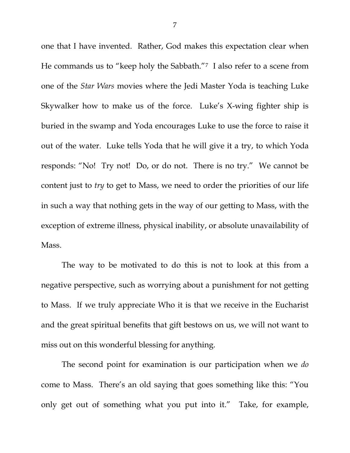one that I have invented. Rather, God makes this expectation clear when He commands us to "keep holy the Sabbath."[7](#page-11-6) I also refer to a scene from one of the *Star Wars* movies where the Jedi Master Yoda is teaching Luke Skywalker how to make us of the force. Luke's X-wing fighter ship is buried in the swamp and Yoda encourages Luke to use the force to raise it out of the water. Luke tells Yoda that he will give it a try, to which Yoda responds: "No! Try not! Do, or do not. There is no try." We cannot be content just to *try* to get to Mass, we need to order the priorities of our life in such a way that nothing gets in the way of our getting to Mass, with the exception of extreme illness, physical inability, or absolute unavailability of Mass.

The way to be motivated to do this is not to look at this from a negative perspective, such as worrying about a punishment for not getting to Mass. If we truly appreciate Who it is that we receive in the Eucharist and the great spiritual benefits that gift bestows on us, we will not want to miss out on this wonderful blessing for anything.

The second point for examination is our participation when we *do* come to Mass. There's an old saying that goes something like this: "You only get out of something what you put into it." Take, for example,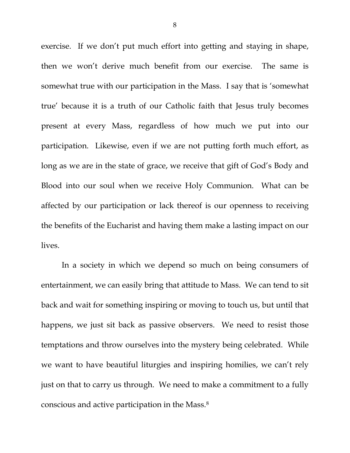exercise. If we don't put much effort into getting and staying in shape, then we won't derive much benefit from our exercise. The same is somewhat true with our participation in the Mass. I say that is 'somewhat true' because it is a truth of our Catholic faith that Jesus truly becomes present at every Mass, regardless of how much we put into our participation. Likewise, even if we are not putting forth much effort, as long as we are in the state of grace, we receive that gift of God's Body and Blood into our soul when we receive Holy Communion. What can be affected by our participation or lack thereof is our openness to receiving the benefits of the Eucharist and having them make a lasting impact on our lives.

In a society in which we depend so much on being consumers of entertainment, we can easily bring that attitude to Mass. We can tend to sit back and wait for something inspiring or moving to touch us, but until that happens, we just sit back as passive observers. We need to resist those temptations and throw ourselves into the mystery being celebrated. While we want to have beautiful liturgies and inspiring homilies, we can't rely just on that to carry us through. We need to make a commitment to a fully conscious and active participation in the Mass.[8](#page-11-7)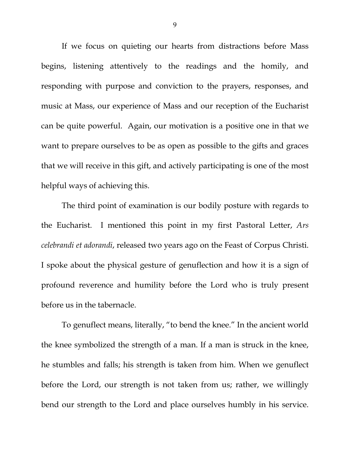If we focus on quieting our hearts from distractions before Mass begins, listening attentively to the readings and the homily, and responding with purpose and conviction to the prayers, responses, and music at Mass, our experience of Mass and our reception of the Eucharist can be quite powerful. Again, our motivation is a positive one in that we want to prepare ourselves to be as open as possible to the gifts and graces that we will receive in this gift, and actively participating is one of the most helpful ways of achieving this.

The third point of examination is our bodily posture with regards to the Eucharist. I mentioned this point in my first Pastoral Letter, *Ars celebrandi et adorandi*, released two years ago on the Feast of Corpus Christi. I spoke about the physical gesture of genuflection and how it is a sign of profound reverence and humility before the Lord who is truly present before us in the tabernacle.

To genuflect means, literally, "to bend the knee." In the ancient world the knee symbolized the strength of a man. If a man is struck in the knee, he stumbles and falls; his strength is taken from him. When we genuflect before the Lord, our strength is not taken from us; rather, we willingly bend our strength to the Lord and place ourselves humbly in his service.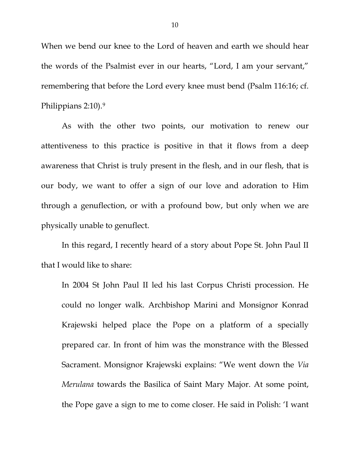When we bend our knee to the Lord of heaven and earth we should hear the words of the Psalmist ever in our hearts, "Lord, I am your servant," remembering that before the Lord every knee must bend (Psalm 116:16; cf. Philippians 2:10).[9](#page-11-8)

As with the other two points, our motivation to renew our attentiveness to this practice is positive in that it flows from a deep awareness that Christ is truly present in the flesh, and in our flesh, that is our body, we want to offer a sign of our love and adoration to Him through a genuflection, or with a profound bow, but only when we are physically unable to genuflect.

In this regard, I recently heard of a story about Pope St. John Paul II that I would like to share:

In 2004 St John Paul II led his last Corpus Christi procession. He could no longer walk. Archbishop Marini and Monsignor Konrad Krajewski helped place the Pope on a platform of a specially prepared car. In front of him was the monstrance with the Blessed Sacrament. Monsignor Krajewski explains: "We went down the *Via Merulana* towards the Basilica of Saint Mary Major. At some point, the Pope gave a sign to me to come closer. He said in Polish: 'I want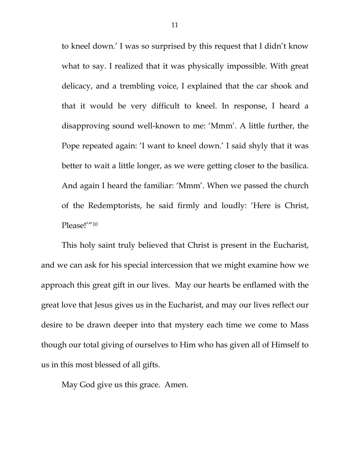to kneel down.' I was so surprised by this request that I didn't know what to say. I realized that it was physically impossible. With great delicacy, and a trembling voice, I explained that the car shook and that it would be very difficult to kneel. In response, I heard a disapproving sound well-known to me: 'Mmm'. A little further, the Pope repeated again: 'I want to kneel down.' I said shyly that it was better to wait a little longer, as we were getting closer to the basilica. And again I heard the familiar: 'Mmm'. When we passed the church of the Redemptorists, he said firmly and loudly: 'Here is Christ, Please!"<sup>[10](#page-11-9)</sup>

This holy saint truly believed that Christ is present in the Eucharist, and we can ask for his special intercession that we might examine how we approach this great gift in our lives. May our hearts be enflamed with the great love that Jesus gives us in the Eucharist, and may our lives reflect our desire to be drawn deeper into that mystery each time we come to Mass though our total giving of ourselves to Him who has given all of Himself to us in this most blessed of all gifts.

May God give us this grace. Amen.